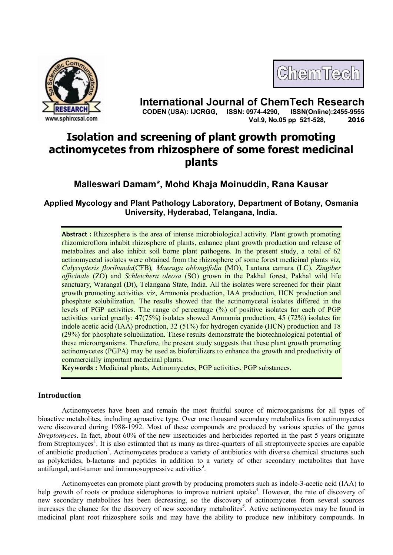



**International Journal of ChemTech Research CODEN (USA): IJCRGG, ISSN: 0974-4290, Vol.9, No.05 pp 521-528, 2016**

# **Isolation and screening of plant growth promoting actinomycetes from rhizosphere of some forest medicinal plants**

**Malleswari Damam\*, Mohd Khaja Moinuddin, Rana Kausar**

**Applied Mycology and Plant Pathology Laboratory, Department of Botany, Osmania University, Hyderabad, Telangana, India.**

**Abstract :** Rhizosphere is the area of intense microbiological activity. Plant growth promoting rhizomicroflora inhabit rhizosphere of plants, enhance plant growth production and release of metabolites and also inhibit soil borne plant pathogens. In the present study, a total of 62 actinomycetal isolates were obtained from the rhizosphere of some forest medicinal plants viz*, Calycopteris floribunda*(CFB)*, Maeruga oblongifolia* (MO), Lantana camara (LC), *Zingiber officinale* (ZO) and *Schleichera oleosa* (SO) grown in the Pakhal forest, Pakhal wild life sanctuary, Warangal (Dt), Telangana State, India. All the isolates were screened for their plant growth promoting activities viz, Ammonia production, IAA production, HCN production and phosphate solubilization. The results showed that the actinomycetal isolates differed in the levels of PGP activities. The range of percentage (%) of positive isolates for each of PGP activities varied greatly: 47(75%) isolates showed Ammonia production, 45 (72%) isolates for indole acetic acid (IAA) production, 32 (51%) for hydrogen cyanide (HCN) production and 18 (29%) for phosphate solubilization. These results demonstrate the biotechnological potential of these microorganisms. Therefore, the present study suggests that these plant growth promoting actinomycetes (PGPA) may be used as biofertilizers to enhance the growth and productivity of commercially important medicinal plants.

**Keywords :** Medicinal plants, Actinomycetes, PGP activities, PGP substances.

## **Introduction**

Actinomycetes have been and remain the most fruitful source of microorganisms for all types of bioactive metabolites, including agroactive type. Over one thousand secondary metabolites from actinomycetes were discovered during 1988-1992. Most of these compounds are produced by various species of the genus *Streptomyces*. In fact, about 60% of the new insecticides and herbicides reported in the past 5 years originate from Streptomyces<sup>1</sup>. It is also estimated that as many as three-quarters of all streptomycete species are capable of antibiotic production<sup>2</sup>. Actinomycetes produce a variety of antibiotics with diverse chemical structures such as polyketides, b-lactams and peptides in addition to a variety of other secondary metabolites that have antifungal, anti-tumor and immunosuppressive activities<sup>3</sup>.

Actinomycetes can promote plant growth by producing promoters such as indole-3-acetic acid (IAA) to help growth of roots or produce siderophores to improve nutrient uptake<sup>4</sup>. However, the rate of discovery of new secondary metabolites has been decreasing, so the discovery of actinomycetes from several sources increases the chance for the discovery of new secondary metabolites<sup>5</sup>. Active actinomycetes may be found in medicinal plant root rhizosphere soils and may have the ability to produce new inhibitory compounds. In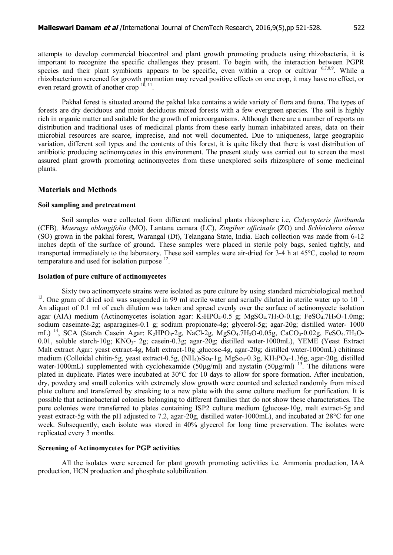attempts to develop commercial biocontrol and plant growth promoting products using rhizobacteria, it is important to recognize the specific challenges they present. To begin with, the interaction between PGPR species and their plant symbionts appears to be specific, even within a crop or cultivar  $6,7,8,9$ . While a rhizobacterium screened for growth promotion may reveal positive effects on one crop, it may have no effect, or even retard growth of another crop  $10$ ,  $11$ .

Pakhal forest is situated around the pakhal lake contains a wide variety of flora and fauna. The types of forests are dry deciduous and moist deciduous mixed forests with a few evergreen species. The soil is highly rich in organic matter and suitable for the growth of microorganisms. Although there are a number of reports on distribution and traditional uses of medicinal plants from these early human inhabitated areas, data on their microbial resources are scarce, imprecise, and not well documented. Due to uniqueness, large geographic variation, different soil types and the contents of this forest, it is quite likely that there is vast distribution of antibiotic producing actinomycetes in this environment. The present study was carried out to screen the most assured plant growth promoting actinomycetes from these unexplored soils rhizosphere of some medicinal plants.

#### **Materials and Methods**

### **Soil sampling and pretreatment**

Soil samples were collected from different medicinal plants rhizosphere i.e, *Calycopteris floribunda* (CFB)*, Maeruga oblongifolia* (MO), Lantana camara (LC), *Zingiber officinale* (ZO) and *Schleichera oleosa* (SO) grown in the pakhal forest, Warangal (Dt), Telangana State, India. Each collection was made from 6-12 inches depth of the surface of ground. These samples were placed in sterile poly bags, sealed tightly, and transported immediately to the laboratory. These soil samples were air-dried for 3-4 h at 45°C, cooled to room temperature and used for isolation purpose  $12$ .

### **Isolation of pure culture of actinomycetes**

Sixty two actinomycete strains were isolated as pure culture by using standard microbiological method <sup>13</sup>. One gram of dried soil was suspended in 99 ml sterile water and serially diluted in sterile water up to  $10^{-7}$ . An aliquot of 0.1 ml of each dilution was taken and spread evenly over the surface of actinomycete isolation agar (AIA) medium (Actinomycetes isolation agar:  $K_2HPO_4-0.5$  g; MgSO<sub>4</sub>.7H<sub>2</sub>O-0.1g; FeSO<sub>4</sub>.7H<sub>2</sub>O-1.0mg; sodium caseinate-2g; asparagines-0.1 g; sodium propionate-4g; glycerol-5g; agar-20g; distilled water- 1000 mL) <sup>14</sup>, SCA (Starch Casein Agar: K<sub>2</sub>HPO<sub>4</sub>-2g, NaCl-2g, MgSO<sub>4</sub>.7H<sub>2</sub>O-0.05g, CaCO<sub>3</sub>-0.02g, FeSO<sub>4</sub>.7H<sub>2</sub>O-0.01, soluble starch-10g; KNO<sub>3</sub>- 2g; casein-0.3g; agar-20g; distilled water-1000mL), YEME (Yeast Extract Malt extract Agar: yeast extract-4g, Malt extract-10g ,glucose-4g, agar-20g; distilled water-1000mL) chitinase medium (Colloidal chitin-5g, yeast extract-0.5g,  $(NH_4)$ <sub>2</sub>So<sub>4</sub>-1g, MgSo<sub>4</sub>-0.3g, KH<sub>2</sub>PO<sub>4</sub>-1.36g, agar-20g, distilled water-1000mL) supplemented with cyclohexamide  $(50\mu g/ml)$  and nystatin  $(50\mu g/ml)$  <sup>15</sup>. The dilutions were plated in duplicate. Plates were incubated at 30°C for 10 days to allow for spore formation. After incubation, dry, powdery and small colonies with extremely slow growth were counted and selected randomly from mixed plate culture and transferred by streaking to a new plate with the same culture medium for purification. It is possible that actinobacterial colonies belonging to different families that do not show these characteristics. The pure colonies were transferred to plates containing ISP2 culture medium (glucose-10g, malt extract-5g and yeast extract-5g with the pH adjusted to 7.2, agar-20g, distilled water-1000mL), and incubated at 28°C for one week. Subsequently, each isolate was stored in 40% glycerol for long time preservation. The isolates were replicated every 3 months.

#### **Screening of Actinomycetes for PGP activities**

All the isolates were screened for plant growth promoting activities i.e. Ammonia production, IAA production, HCN production and phosphate solubilization.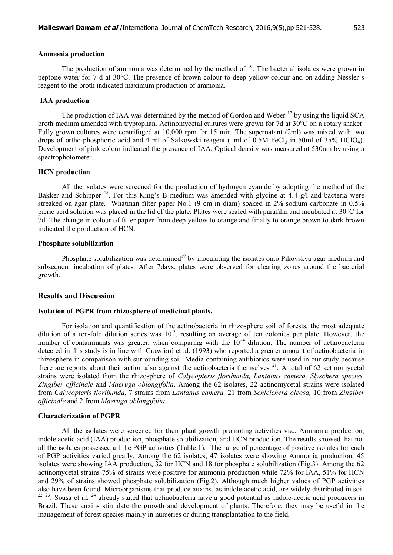The production of ammonia was determined by the method of  $16$ . The bacterial isolates were grown in peptone water for 7 d at 30°C. The presence of brown colour to deep yellow colour and on adding Nessler's reagent to the broth indicated maximum production of ammonia.

#### **IAA production**

The production of IAA was determined by the method of Gordon and Weber <sup>17</sup> by using the liquid SCA broth medium amended with tryptophan. Actinomycetal cultures were grown for 7d at 30°C on a rotary shaker. Fully grown cultures were centrifuged at 10,000 rpm for 15 min. The supernatant (2ml) was mixed with two drops of ortho-phosphoric acid and 4 ml of Salkowski reagent (1ml of 0.5M FeCl<sub>3</sub> in 50ml of 35% HClO<sub>4</sub>). Development of pink colour indicated the presence of IAA. Optical density was measured at 530nm by using a spectrophotometer.

#### **HCN production**

All the isolates were screened for the production of hydrogen cyanide by adopting the method of the Bakker and Schipper<sup>18</sup>. For this King's B medium was amended with glycine at 4.4 g/l and bacteria were streaked on agar plate. Whatman filter paper No.1 (9 cm in diam) soaked in 2% sodium carbonate in 0.5% picric acid solution was placed in the lid of the plate. Plates were sealed with parafilm and incubated at 30°C for 7d. The change in colour of filter paper from deep yellow to orange and finally to orange brown to dark brown indicated the production of HCN.

### **Phosphate solubilization**

Phosphate solubilization was determined<sup>19</sup> by inoculating the isolates onto Pikovskya agar medium and subsequent incubation of plates. After 7days, plates were observed for clearing zones around the bacterial growth.

#### **Results and Discussion**

#### **Isolation of PGPR from rhizosphere of medicinal plants.**

For isolation and quantification of the actinobacteria in rhizosphere soil of forests, the most adequate dilution of a ten-fold dilution series was  $10^{-3}$ , resulting an average of ten colonies per plate. However, the number of contaminants was greater, when comparing with the  $10^{-4}$  dilution. The number of actinobacteria detected in this study is in line with Crawford et al. (1993) who reported a greater amount of actinobacteria in rhizosphere in comparison with surrounding soil. Media containing antibiotics were used in our study because there are reports about their action also against the actinobacteria themselves  $21$ . A total of 62 actinomycetal strains were isolated from the rhizosphere of *Calycopteris floribunda, Lantanus camera, Slyschera species, Zingiber officinale* and *Maeruga oblongifolia*. Among the 62 isolates, 22 actinomycetal strains were isolated from *Calycopteris floribunda,* 7 strains from *Lantanus camera,* 21 from *Schleichera oleosa,* 10 from *Zingiber officinale* and 2 from *Maeruga oblongifolia.*

#### **Characterization of PGPR**

All the isolates were screened for their plant growth promoting activities viz., Ammonia production, indole acetic acid (IAA) production, phosphate solubilization, and HCN production. The results showed that not all the isolates possessed all the PGP activities (Table 1). The range of percentage of positive isolates for each of PGP activities varied greatly. Among the 62 isolates, 47 isolates were showing Ammonia production, 45 isolates were showing IAA production, 32 for HCN and 18 for phosphate solubilization (Fig.3). Among the 62 actinomycetal strains 75% of strains were positive for ammonia production while 72% for IAA, 51% for HCN and 29% of strains showed phosphate solubilization (Fig.2). Although much higher values of PGP activities also have been found. Microorganisms that produce auxins, as indole-acetic acid, are widely distributed in soil  $22, 23$ . Sousa et al.  $24$  already stated that actinobacteria have a good potential as indole-acetic acid producers in Brazil. These auxins stimulate the growth and development of plants. Therefore, they may be useful in the management of forest species mainly in nurseries or during transplantation to the field.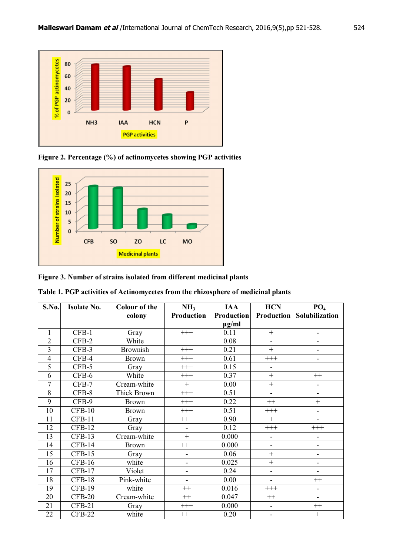

**Figure 2. Percentage (%) of actinomycetes showing PGP activities**



**Figure 3. Number of strains isolated from different medicinal plants**

| Table 1. PGP activities of Actinomycetes from the rhizosphere of medicinal plants |  |
|-----------------------------------------------------------------------------------|--|
|-----------------------------------------------------------------------------------|--|

| S.No.           | <b>Isolate No.</b> | <b>Colour of the</b> | NH <sub>3</sub>          | <b>IAA</b> | <b>HCN</b>                   | PO <sub>4</sub>                  |
|-----------------|--------------------|----------------------|--------------------------|------------|------------------------------|----------------------------------|
|                 |                    | colony               | Production               | Production |                              | <b>Production</b> Solubilization |
|                 |                    |                      |                          | $\mu$ g/ml |                              |                                  |
| 1               | CFB-1              | Gray                 | $+++$                    | 0.11       | $+$                          | $\qquad \qquad \blacksquare$     |
| $\overline{2}$  | $CFB-2$            | White                | $+$                      | 0.08       | ÷,                           | $\overline{\phantom{0}}$         |
| $\overline{3}$  | CFB-3              | <b>Brownish</b>      | $+++$                    | 0.21       | $^{+}$                       | $\overline{a}$                   |
| $\overline{4}$  | CFB-4              | <b>Brown</b>         | $+++$                    | 0.61       | $^{+++}$                     | $\overline{\phantom{0}}$         |
| 5               | CFB-5              | Gray                 | $+++$                    | 0.15       |                              |                                  |
| 6               | CFB-6              | White                | $+++$                    | 0.37       | $+$                          | $++$                             |
| 7               | CFB-7              | Cream-white          | $+$                      | 0.00       | $+$                          | $\overline{\phantom{0}}$         |
| 8               | $CFB-8$            | Thick Brown          | $^{+++}$                 | 0.51       | $\blacksquare$               | $\overline{\phantom{0}}$         |
| 9               | CFB-9              | <b>Brown</b>         | $+++$                    | 0.22       | $++$                         | $^{+}$                           |
| 10              | $CFB-10$           | <b>Brown</b>         | $+++$                    | 0.51       | $+++$                        | $\overline{\phantom{0}}$         |
| 11              | $CFB-11$           | Gray                 | $+++$                    | 0.90       | $+$                          | $\overline{a}$                   |
| 12              | $CFB-12$           | Gray                 | ÷,                       | 0.12       | $^{+++}$                     | $^{+++}$                         |
| 13              | $CFB-13$           | Cream-white          | $\ddot{}$                | 0.000      | $\blacksquare$               | $\overline{\phantom{0}}$         |
| 14              | $CFB-14$           | <b>Brown</b>         | $^{+++}$                 | 0.000      | $\blacksquare$               | $\overline{\phantom{0}}$         |
| 15              | $CFB-15$           | Gray                 | -                        | 0.06       | $+$                          | $\overline{\phantom{0}}$         |
| 16              | $CFB-16$           | white                | $\overline{\phantom{0}}$ | 0.025      | $+$                          | $\qquad \qquad \blacksquare$     |
| 17              | $CFB-17$           | Violet               | $\overline{\phantom{a}}$ | 0.24       | $\blacksquare$               | $\overline{a}$                   |
| $\overline{18}$ | $CFB-18$           | Pink-white           | ÷,                       | 0.00       | $\blacksquare$               | $^{++}$                          |
| 19              | <b>CFB-19</b>      | white                | $++$                     | 0.016      | $+++$                        | $\overline{\phantom{0}}$         |
| 20              | $CFB-20$           | Cream-white          | $++$                     | 0.047      | $^{++}$                      | $\overline{\phantom{0}}$         |
| 21              | $CFB-21$           | Gray                 | $^{+++}$                 | 0.000      | $\qquad \qquad \blacksquare$ | $++$                             |
| 22              | $CFB-22$           | white                | $^{+++}$                 | 0.20       | $\overline{\phantom{a}}$     | $\! +$                           |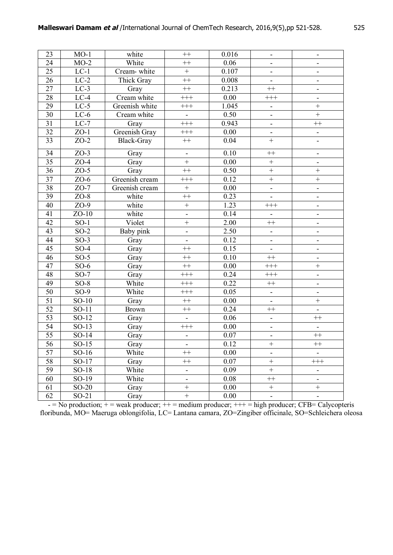| 23              | $MO-1$            | white          | $++$                         | 0.016             | $\overline{\phantom{0}}$     | $\overline{\phantom{0}}$     |
|-----------------|-------------------|----------------|------------------------------|-------------------|------------------------------|------------------------------|
| 24              | $MO-2$            | White          | $^{++}$                      | 0.06              | $\blacksquare$               | $\overline{\phantom{a}}$     |
| 25              | $LC-1$            | Cream-white    | $\boldsymbol{+}$             | 0.107             | $\qquad \qquad \blacksquare$ | $\qquad \qquad \blacksquare$ |
| 26              | $LC-2$            | Thick Gray     | $++$                         | 0.008             | $\blacksquare$               | $\overline{\phantom{0}}$     |
| $\overline{27}$ | $LC-3$            | Gray           | $++$                         | 0.213             | $+$                          | $\qquad \qquad \blacksquare$ |
| 28              | $LC-4$            | Cream white    | $^{+++}$                     | 0.00              | $^{+++}$                     | $\blacksquare$               |
| 29              | $LC-5$            | Greenish white | $^{+++}$                     | 1.045             | $\blacksquare$               | $^{+}$                       |
| 30              | $LC-6$            | Cream white    | $\qquad \qquad \blacksquare$ | 0.50              | $\blacksquare$               | $^{+}$                       |
| $\overline{31}$ | $LC-7$            | Gray           | $^{+++}$                     | 0.943             | $\overline{\phantom{0}}$     | $++$                         |
| 32              | $ZO-1$            | Greenish Gray  | $+++$                        | 0.00              | $\blacksquare$               | $\frac{1}{2}$                |
| $\overline{33}$ | $ZO-2$            | Black-Gray     | $^{++}$                      | 0.04              | $^{+}$                       |                              |
| 34              | $ZO-3$            | Gray           | $\blacksquare$               | 0.10              | $^{++}$                      | $\qquad \qquad \blacksquare$ |
| 35              | $ZO-4$            | Gray           | $\qquad \qquad +$            | 0.00              | $\boldsymbol{+}$             | $\overline{\phantom{a}}$     |
| $\overline{36}$ | $ZO-5$            | Gray           | $++$                         | $\overline{0.50}$ | $^{+}$                       | $\! + \!$                    |
| $\overline{37}$ | $ZO-6$            | Greenish cream | $^{+++}$                     | 0.12              | $\qquad \qquad +$            | $^{+}$                       |
| 38              | $ZO-7$            | Greenish cream | $\qquad \qquad +$            | 0.00              | ÷,                           | $\frac{1}{2}$                |
| 39              | $ZO-8$            | white          | $^{++}$                      | 0.23              | $\overline{\phantom{0}}$     | $\overline{\phantom{0}}$     |
| 40              | $ZO-9$            | white          | $\! + \!$                    | 1.23              | $^{+++}$                     | $\blacksquare$               |
| 41              | $ZO-10$           | white          | $\blacksquare$               | 0.14              | $\blacksquare$               | $\overline{\phantom{a}}$     |
| $\overline{42}$ | $SO-1$            | Violet         | $\! + \!$                    | 2.00              | $^{++}$                      | $\qquad \qquad \blacksquare$ |
| 43              | $SO-2$            | Baby pink      | $\overline{a}$               | 2.50              | $\blacksquare$               | $\blacksquare$               |
| 44              | $SO-3$            | Gray           | $\qquad \qquad \blacksquare$ | 0.12              | ÷                            | $\qquad \qquad \blacksquare$ |
| 45              | $SO-4$            | Gray           | $^{++}$                      | 0.15              | $\blacksquare$               | $\qquad \qquad \blacksquare$ |
| 46              | $SO-5$            | Gray           | $^{++}$                      | 0.10              | $^{++}$                      | $\overline{\phantom{a}}$     |
| 47              | $\overline{SO-6}$ | Gray           | $++$                         | 0.00              | $^{+++}$                     | $\qquad \qquad +$            |
| 48              | $SO-7$            | Gray           | $^{+++}$                     | 0.24              | $^{+++}$                     | $\blacksquare$               |
| 49              | $SO-8$            | White          | $^{+++}$                     | 0.22              | $^{++}$                      | $\blacksquare$               |
| $\overline{50}$ | $SO-9$            | White          | $^{+++}$                     | 0.05              | $\blacksquare$               | $\qquad \qquad \blacksquare$ |
| 51              | $SO-10$           | Gray           | $^{++}$                      | 0.00              | $\blacksquare$               | $\! + \!$                    |
| 52              | $SO-11$           | <b>Brown</b>   | $^{++}$                      | 0.24              | $^{++}$                      | $\overline{\phantom{a}}$     |
| $\overline{53}$ | $SO-12$           | Gray           | $\blacksquare$               | 0.06              | $\blacksquare$               | $^{++}$                      |
| $\overline{54}$ | $SO-13$           | Gray           | $^{+++}$                     | $0.00\,$          | $\overline{\phantom{0}}$     |                              |
| $\overline{55}$ | SO-14             | Gray           | $\overline{\phantom{0}}$     | 0.07              | $\overline{\phantom{0}}$     | $^{++}$                      |
| $\overline{56}$ | $SO-15$           | Gray           |                              | 0.12              | $\qquad \qquad +$            | $++$                         |
| 57              | $SO-16$           | White          | $^{++}$                      | 0.00              | $\overline{\phantom{0}}$     |                              |
| $\overline{58}$ | $SO-17$           | Gray           | $^{++}$                      | 0.07              | $\ddot{}$                    | $^{+++}$                     |
| 59              | $SO-18$           | White          | $\qquad \qquad \blacksquare$ | 0.09              | $\qquad \qquad +$            | -                            |
| 60              | SO-19             | White          | $\overline{\phantom{a}}$     | 0.08              | $+$                          | -                            |
| 61              | $SO-20$           | Gray           | $\! + \!$                    | 0.00              | $\boldsymbol{+}$             | $\! + \!$                    |
| 62              | $SO-21$           | Gray           | $\! + \!$                    | 0.00              | $\blacksquare$               | $\blacksquare$               |

 $-$  = No production;  $+$  = weak producer;  $++$  = medium producer;  $++$  = high producer; CFB= Calycopteris floribunda, MO= Maeruga oblongifolia, LC= Lantana camara, ZO=Zingiber officinale, SO=Schleichera oleosa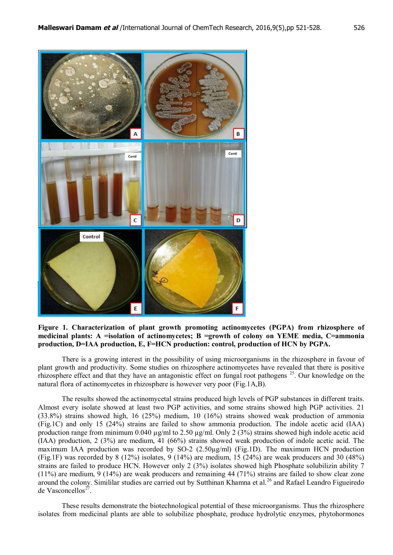

**Figure 1. Characterization of plant growth promoting actinomycetes (PGPA) from rhizosphere of medicinal plants: A =isolation of actinomycetes; B =growth of colony on YEME media, C=ammonia production, D=IAA production, E, F=HCN production: control, production of HCN by PGPA.**

There is a growing interest in the possibility of using microorganisms in the rhizosphere in favour of plant growth and productivity. Some studies on rhizosphere actinomycetes have revealed that there is positive rhizosphere effect and that they have an antagonistic effect on fungal root pathogens <sup>25</sup>. Our knowledge on the natural flora of actinomycetes in rhizosphere is however very poor (Fig.1A,B).

The results showed the actinomycetal strains produced high levels of PGP substances in different traits. Almost every isolate showed at least two PGP activities, and some strains showed high PGP activities. 21 (33.8%) strains showed high, 16 (25%) medium, 10 (16%) strains showed weak production of ammonia (Fig.1C) and only 15 (24%) strains are failed to show ammonia production. The indole acetic acid (IAA) production range from minimum 0.040  $\mu$ g/ml to 2.50  $\mu$ g/ml. Only 2 (3%) strains showed high indole acetic acid (IAA) production, 2 (3%) are medium, 41 (66%) strains showed weak production of indole acetic acid. The maximum IAA production was recorded by  $SO-2$  (2.50 $\mu$ g/ml) (Fig.1D). The maximum HCN production (Fig.1F) was recorded by 8 (12%) isolates, 9 (14%) are medium, 15 (24%) are weak producers and 30 (48%) strains are failed to produce HCN. However only 2 (3%) isolates showed high Phosphate solubilizin ability 7 (11%) are medium,  $9(14%)$  are weak producers and remaining 44 (71%) strains are failed to show clear zone around the colony. Simililar studies are carried out by Sutthinan Khamna et al.<sup>26</sup> and Rafael Leandro Figueiredo de Vasconcellos<sup>27</sup>.

These results demonstrate the biotechnological potential of these microorganisms. Thus the rhizosphere isolates from medicinal plants are able to solubilize phosphate, produce hydrolytic enzymes, phytohormones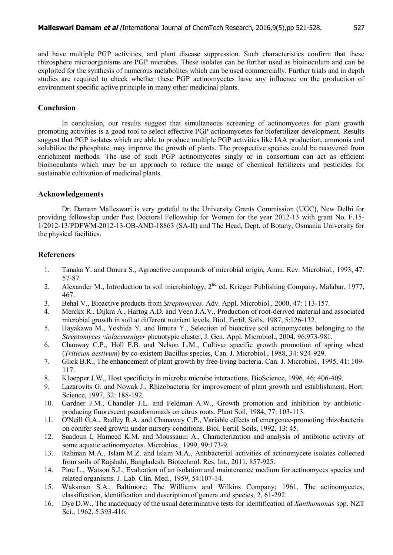and have multiple PGP activities, and plant disease suppression. Such characteristics confirm that these rhizosphere microorganisms are PGP microbes. These isolates can be further used as bioinoculum and can be exploited for the synthesis of numerous metabolites which can be used commercially. Further trials and in depth studies are required to check whether these PGP actinomycetes have any influence on the production of environment specific active principle in many other medicinal plants.

## **Conclusion**

In conclusion, our results suggest that simultaneous screening of actinomycetes for plant growth promoting activities is a good tool to select effective PGP actinomycetes for biofertilizer development. Results suggest that PGP isolates which are able to produce multiple PGP activities like IAA production, ammonia and solubilize the phosphate, may improve the growth of plants. The prospective species could be recovered from enrichment methods. The use of such PGP actinomycetes singly or in consortium can act as efficient bioinoculants which may be an approach to reduce the usage of chemical fertilizers and pesticides for sustainable cultivation of medicinal plants.

## **Acknowledgements**

Dr. Damam Malleswari is very grateful to the University Grants Commission (UGC), New Delhi for providing fellowship under Post Doctoral Fellowship for Women for the year 2012-13 with grant No. F.15- 1/2012-13/PDFWM-2012-13-OB-AND-18863 (SA-II) and The Head, Dept. of Botany, Osmania University for the physical facilities.

## **References**

- 1. Tanaka Y. and Omura S., Agroactive compounds of microbial origin, Annu. Rev. Microbiol., 1993, 47: 57-87.
- 2. Alexander M., Introduction to soil microbiology,  $2<sup>nd</sup>$  ed. Krieger Publishing Company, Malabar, 1977, 467.
- 3. Behal V., Bioactive products from *Streptomyces*. Adv. Appl. Microbiol., 2000, 47: 113-157.
- 4. Merckx R., Dijkra A., Hartog A.D. and Veen J.A.V., Production of root-derived material and associated microbial growth in soil at different nutrient levels, Biol. Fertil. Soils, 1987, 5:126-132.
- 5. Hayakawa M., Yoshida Y. and Iimura Y., Selection of bioactive soil actinomycetes belonging to the *Streptomyces violaceusniger* phenotypic cluster, J. Gen. Appl. Microbiol., 2004, 96:973-981.
- 6. Chanway C.P., Holl F.B. and Nelson L.M., Cultivar specifie growth promotion of spring wheat (*Triticum aestivum*) by co-existent Bacillus species, Can. J. Microbiol., 1988, 34: 924-929.
- 7. Glick B.R., The enhancement of plant growth by free-living bacteria. Can. J. Microbiol., 1995, 41: 109- 117.
- 8. KIoepper J.W., Host specificity in microbe microbe interactions. BioScience, 1996, 46: 406-409.
- 9. Lazarovits G. and Nowak J., Rhizobacteria for improvement of plant growth and establishment. Hort. Science, 1997, 32: 188-192.
- 10. Gardner J.M., Chandler J.L. and Feldman A.W., Growth promotion and inhibition by antibioticproducing fluorescent pseudomonads on citrus roots. Plant Soil, 1984, 77: 103-113.
- 11. O'Neill G.A., Radley R.A. and Chanaway C.P., Variable effects of emergence-promoting rhizobacteria on conifer seed growth under nursery conditions. Biol. Fertil. Soils, 1992, 13: 45.
- 12. Saadoun I, Hameed K.M. and Moussauui A., Characterization and analysis of antibiotic activity of some aquatic actinomycetes. Microbios., 1999, 99:173-9.
- 13. Rahman M.A., Islam M.Z. and Islam M.A., Antibacterial activities of actinomycete isolates collected from soils of Rajshahi, Bangladesh. Biotechnol. Res. Int., 2011, 857-925.
- 14. Pine L., Watson S.J., Evaluation of an isolation and maintenance medium for actinomyces species and related organisms. J. Lab. Clin. Med., 1959, 54:107-14.
- 15. Waksman S.A., Baltimore: The Williams and Wilkins Company; 1961. The actinomycetes, classification, identification and description of genera and species, 2, 61-292.
- 16. Dye D.W., The inadequacy of the usual determinative tests for identification of *Xanthomonas* spp. NZT Sci., 1962, 5:393-416.